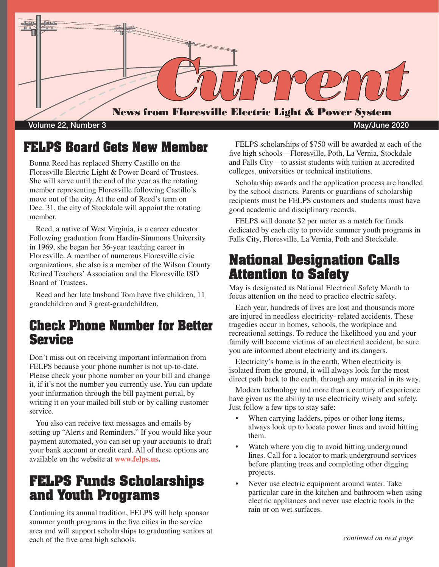

Volume 22, Number 3 May/June 2020

# **FELPS Board Gets New Member**

Bonna Reed has replaced Sherry Castillo on the Floresville Electric Light & Power Board of Trustees. She will serve until the end of the year as the rotating member representing Floresville following Castillo's move out of the city. At the end of Reed's term on Dec. 31, the city of Stockdale will appoint the rotating member.

Reed, a native of West Virginia, is a career educator. Following graduation from Hardin-Simmons University in 1969, she began her 36-year teaching career in Floresville. A member of numerous Floresville civic organizations, she also is a member of the Wilson County Retired Teachers' Association and the Floresville ISD Board of Trustees.

Reed and her late husband Tom have five children, 11 grandchildren and 3 great-grandchildren.

# **Check Phone Number for Better Service**

Don't miss out on receiving important information from FELPS because your phone number is not up-to-date. Please check your phone number on your bill and change it, if it's not the number you currently use. You can update your information through the bill payment portal, by writing it on your mailed bill stub or by calling customer service.

You also can receive text messages and emails by setting up "Alerts and Reminders." If you would like your payment automated, you can set up your accounts to draft your bank account or credit card. All of these options are available on the website at **www.felps.us.**

# **FELPS Funds Scholarships and Youth Programs**

Continuing its annual tradition, FELPS will help sponsor summer youth programs in the five cities in the service area and will support scholarships to graduating seniors at each of the five area high schools.

FELPS scholarships of \$750 will be awarded at each of the five high schools—Floresville, Poth, La Vernia, Stockdale and Falls City—to assist students with tuition at accredited colleges, universities or technical institutions.

Scholarship awards and the application process are handled by the school districts. Parents or guardians of scholarship recipients must be FELPS customers and students must have good academic and disciplinary records.

FELPS will donate \$2 per meter as a match for funds dedicated by each city to provide summer youth programs in Falls City, Floresville, La Vernia, Poth and Stockdale.

# **National Designation Calls Attention to Safety**

May is designated as National Electrical Safety Month to focus attention on the need to practice electric safety.

Each year, hundreds of lives are lost and thousands more are injured in needless electricity- related accidents. These tragedies occur in homes, schools, the workplace and recreational settings. To reduce the likelihood you and your family will become victims of an electrical accident, be sure you are informed about electricity and its dangers.

Electricity's home is in the earth. When electricity is isolated from the ground, it will always look for the most direct path back to the earth, through any material in its way.

Modern technology and more than a century of experience have given us the ability to use electricity wisely and safely. Just follow a few tips to stay safe:

- When carrying ladders, pipes or other long items, always look up to locate power lines and avoid hitting them.
- Watch where you dig to avoid hitting underground lines. Call for a locator to mark underground services before planting trees and completing other digging projects.
- Never use electric equipment around water. Take particular care in the kitchen and bathroom when using electric appliances and never use electric tools in the rain or on wet surfaces.